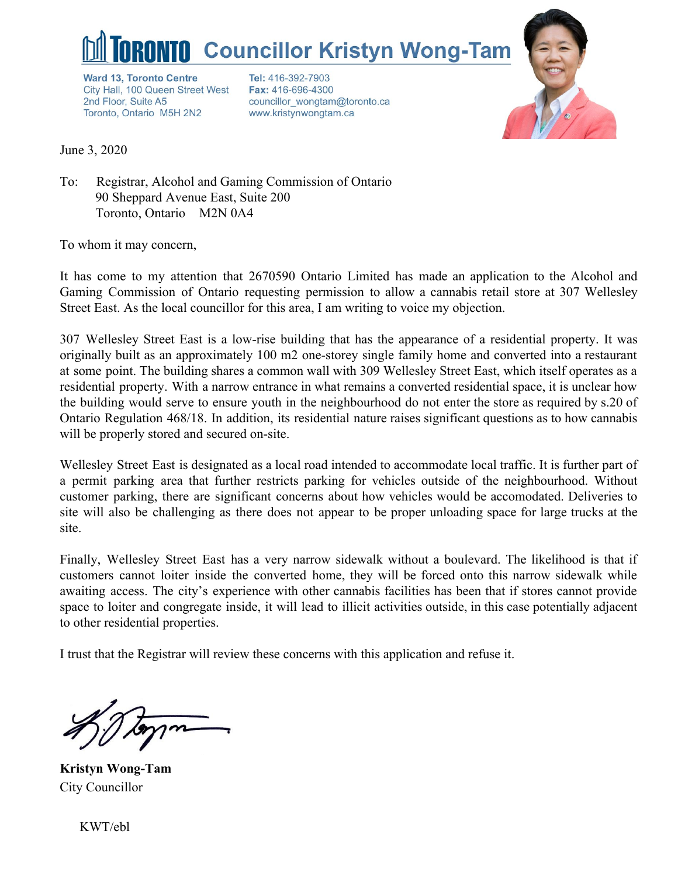

**Ward 13, Toronto Centre** City Hall, 100 Queen Street West 2nd Floor, Suite A5 Toronto, Ontario M5H 2N2

Tel: 416-392-7903 Fax: 416-696-4300 councillor wongtam@toronto.ca www.kristynwongtam.ca



June 3, 2020

To: Registrar, Alcohol and Gaming Commission of Ontario 90 Sheppard Avenue East, Suite 200 Toronto, Ontario M2N 0A4

To whom it may concern,

It has come to my attention that 2670590 Ontario Limited has made an application to the Alcohol and Gaming Commission of Ontario requesting permission to allow a cannabis retail store at 307 Wellesley Street East. As the local councillor for this area, I am writing to voice my objection.

307 Wellesley Street East is a low-rise building that has the appearance of a residential property. It was originally built as an approximately 100 m2 one-storey single family home and converted into a restaurant at some point. The building shares a common wall with 309 Wellesley Street East, which itself operates as a residential property. With a narrow entrance in what remains a converted residential space, it is unclear how the building would serve to ensure youth in the neighbourhood do not enter the store as required by s.20 of Ontario Regulation 468/18. In addition, its residential nature raises significant questions as to how cannabis will be properly stored and secured on-site.

Wellesley Street East is designated as a local road intended to accommodate local traffic. It is further part of a permit parking area that further restricts parking for vehicles outside of the neighbourhood. Without customer parking, there are significant concerns about how vehicles would be accomodated. Deliveries to site will also be challenging as there does not appear to be proper unloading space for large trucks at the site.

Finally, Wellesley Street East has a very narrow sidewalk without a boulevard. The likelihood is that if customers cannot loiter inside the converted home, they will be forced onto this narrow sidewalk while awaiting access. The city's experience with other cannabis facilities has been that if stores cannot provide space to loiter and congregate inside, it will lead to illicit activities outside, in this case potentially adjacent to other residential properties.

I trust that the Registrar will review these concerns with this application and refuse it.

**Kristyn Wong-Tam** City Councillor